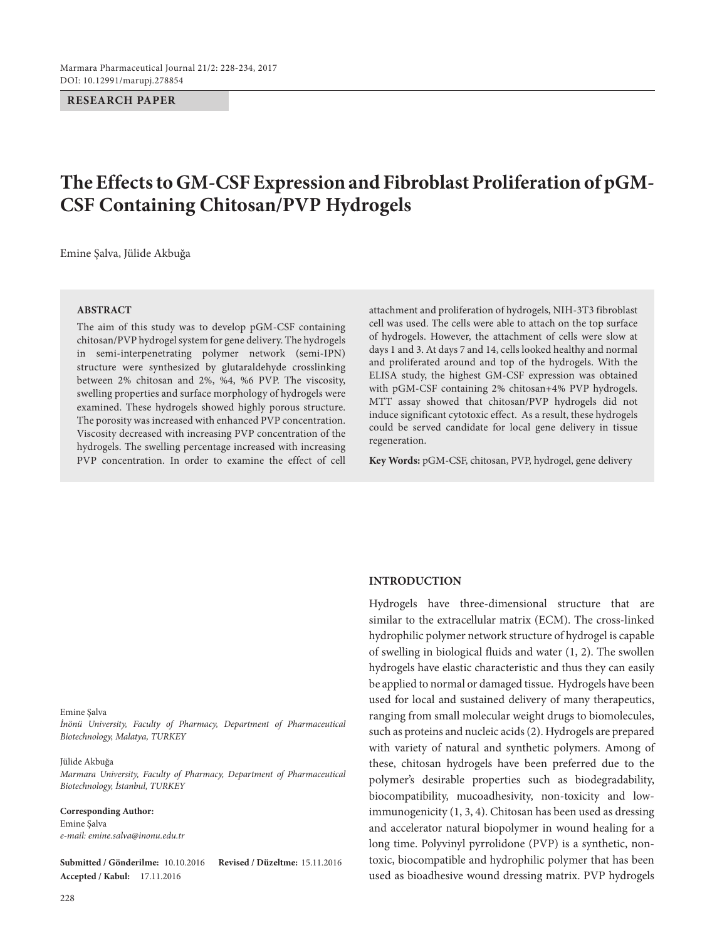#### **RESEARCH PAPER**

# **The Effects to GM-CSF Expression and Fibroblast Proliferation of pGM-CSF Containing Chitosan/PVP Hydrogels**

Emine Şalva, Jülide Akbuğa

#### **ABSTRACT**

The aim of this study was to develop pGM-CSF containing chitosan/PVP hydrogel system for gene delivery. The hydrogels in semi-interpenetrating polymer network (semi-IPN) structure were synthesized by glutaraldehyde crosslinking between 2% chitosan and 2%, %4, %6 PVP. The viscosity, swelling properties and surface morphology of hydrogels were examined. These hydrogels showed highly porous structure. The porosity was increased with enhanced PVP concentration. Viscosity decreased with increasing PVP concentration of the hydrogels. The swelling percentage increased with increasing PVP concentration. In order to examine the effect of cell

attachment and proliferation of hydrogels, NIH-3T3 fibroblast cell was used. The cells were able to attach on the top surface of hydrogels. However, the attachment of cells were slow at days 1 and 3. At days 7 and 14, cells looked healthy and normal and proliferated around and top of the hydrogels. With the ELISA study, the highest GM-CSF expression was obtained with pGM-CSF containing 2% chitosan+4% PVP hydrogels. MTT assay showed that chitosan/PVP hydrogels did not induce significant cytotoxic effect. As a result, these hydrogels could be served candidate for local gene delivery in tissue regeneration.

**Key Words:** pGM-CSF, chitosan, PVP, hydrogel, gene delivery

#### Emine Şalva

*İnönü University, Faculty of Pharmacy, Department of Pharmaceutical Biotechnology, Malatya, TURKEY*

#### Jülide Akbuğa

*Marmara University, Faculty of Pharmacy, Department of Pharmaceutical Biotechnology, İstanbul, TURKEY*

#### **Corresponding Author:**

Emine Şalva *e-mail: emine.salva@inonu.edu.tr*

**Submitted / Gönderilme:** 10.10.2016 **Revised / Düzeltme:** 15.11.2016 **Accepted / Kabul:** 17.11.2016

# **INTRODUCTION**

Hydrogels have three-dimensional structure that are similar to the extracellular matrix (ECM). The cross-linked hydrophilic polymer network structure of hydrogel is capable of swelling in biological fluids and water (1, 2). The swollen hydrogels have elastic characteristic and thus they can easily be applied to normal or damaged tissue. Hydrogels have been used for local and sustained delivery of many therapeutics, ranging from small molecular weight drugs to biomolecules, such as proteins and nucleic acids (2). Hydrogels are prepared with variety of natural and synthetic polymers. Among of these, chitosan hydrogels have been preferred due to the polymer's desirable properties such as biodegradability, biocompatibility, mucoadhesivity, non-toxicity and lowimmunogenicity (1, 3, 4). Chitosan has been used as dressing and accelerator natural biopolymer in wound healing for a long time. Polyvinyl pyrrolidone (PVP) is a synthetic, nontoxic, biocompatible and hydrophilic polymer that has been used as bioadhesive wound dressing matrix. PVP hydrogels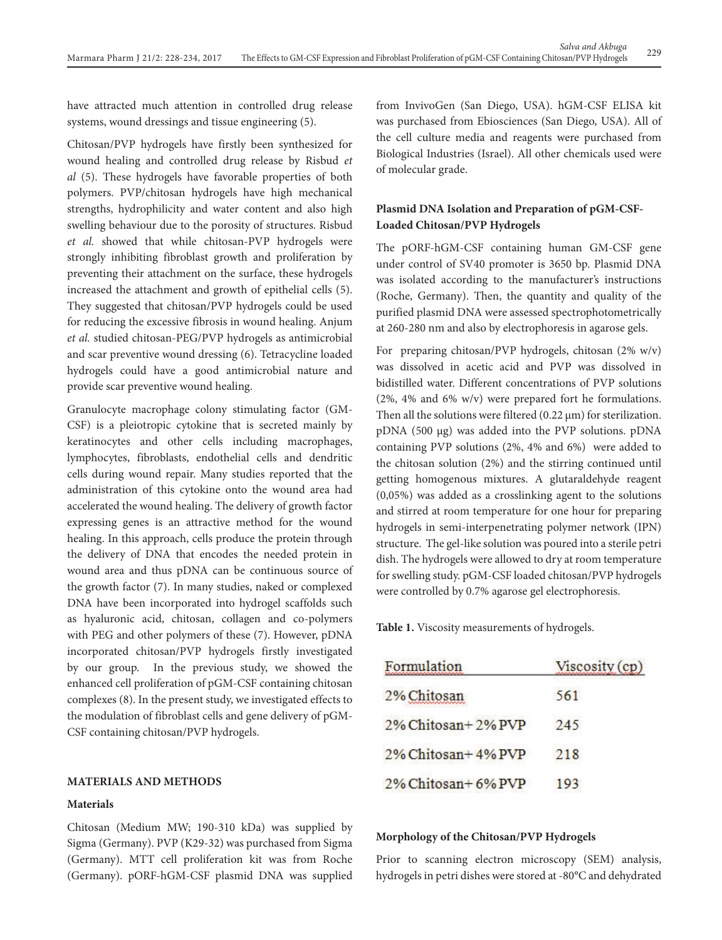have attracted much attention in controlled drug release systems, wound dressings and tissue engineering (5).

Chitosan/PVP hydrogels have firstly been synthesized for wound healing and controlled drug release by Risbud *et al* (5). These hydrogels have favorable properties of both polymers. PVP/chitosan hydrogels have high mechanical strengths, hydrophilicity and water content and also high swelling behaviour due to the porosity of structures. Risbud *et al.* showed that while chitosan-PVP hydrogels were strongly inhibiting fibroblast growth and proliferation by preventing their attachment on the surface, these hydrogels increased the attachment and growth of epithelial cells (5). They suggested that chitosan/PVP hydrogels could be used for reducing the excessive fibrosis in wound healing. Anjum *et al.* studied chitosan-PEG/PVP hydrogels as antimicrobial and scar preventive wound dressing (6). Tetracycline loaded hydrogels could have a good antimicrobial nature and provide scar preventive wound healing.

Granulocyte macrophage colony stimulating factor (GM-CSF) is a pleiotropic cytokine that is secreted mainly by keratinocytes and other cells including macrophages, lymphocytes, fibroblasts, endothelial cells and dendritic cells during wound repair. Many studies reported that the administration of this cytokine onto the wound area had accelerated the wound healing. The delivery of growth factor expressing genes is an attractive method for the wound healing. In this approach, cells produce the protein through the delivery of DNA that encodes the needed protein in wound area and thus pDNA can be continuous source of the growth factor (7). In many studies, naked or complexed DNA have been incorporated into hydrogel scaffolds such as hyaluronic acid, chitosan, collagen and co-polymers with PEG and other polymers of these (7). However, pDNA incorporated chitosan/PVP hydrogels firstly investigated by our group. In the previous study, we showed the enhanced cell proliferation of pGM-CSF containing chitosan complexes (8). In the present study, we investigated effects to the modulation of fibroblast cells and gene delivery of pGM-CSF containing chitosan/PVP hydrogels.

# **MATERIALS AND METHODS**

## **Materials**

Chitosan (Medium MW; 190-310 kDa) was supplied by Sigma (Germany). PVP (K29-32) was purchased from Sigma (Germany). MTT cell proliferation kit was from Roche (Germany). pORF-hGM-CSF plasmid DNA was supplied

from InvivoGen (San Diego, USA). hGM-CSF ELISA kit was purchased from Ebiosciences (San Diego, USA). All of the cell culture media and reagents were purchased from Biological Industries (Israel). All other chemicals used were of molecular grade.

# **Plasmid DNA Isolation and Preparation of pGM-CSF-Loaded Chitosan/PVP Hydrogels**

The pORF-hGM-CSF containing human GM-CSF gene under control of SV40 promoter is 3650 bp. Plasmid DNA was isolated according to the manufacturer's instructions (Roche, Germany). Then, the quantity and quality of the purified plasmid DNA were assessed spectrophotometrically at 260-280 nm and also by electrophoresis in agarose gels.

For preparing chitosan/PVP hydrogels, chitosan (2% w/v) was dissolved in acetic acid and PVP was dissolved in bidistilled water. Different concentrations of PVP solutions (2%, 4% and 6% w/v) were prepared fort he formulations. Then all the solutions were filtered  $(0.22 \,\mu m)$  for sterilization. pDNA (500 μg) was added into the PVP solutions. pDNA containing PVP solutions (2%, 4% and 6%) were added to the chitosan solution (2%) and the stirring continued until getting homogenous mixtures. A glutaraldehyde reagent (0,05%) was added as a crosslinking agent to the solutions and stirred at room temperature for one hour for preparing hydrogels in semi-interpenetrating polymer network (IPN) structure. The gel-like solution was poured into a sterile petri dish. The hydrogels were allowed to dry at room temperature for swelling study. pGM-CSF loaded chitosan/PVP hydrogels were controlled by 0.7% agarose gel electrophoresis.

**Table 1.** Viscosity measurements of hydrogels.

| Formulation        | Viscosity (cp) |
|--------------------|----------------|
| 2% Chitosan        | 561            |
| 2% Chitosan+2% PVP | 245            |
| 2% Chitosan+4% PVP | 218            |
| 2% Chitosan+6% PVP | 193            |

#### **Morphology of the Chitosan/PVP Hydrogels**

Prior to scanning electron microscopy (SEM) analysis, hydrogels in petri dishes were stored at -80°C and dehydrated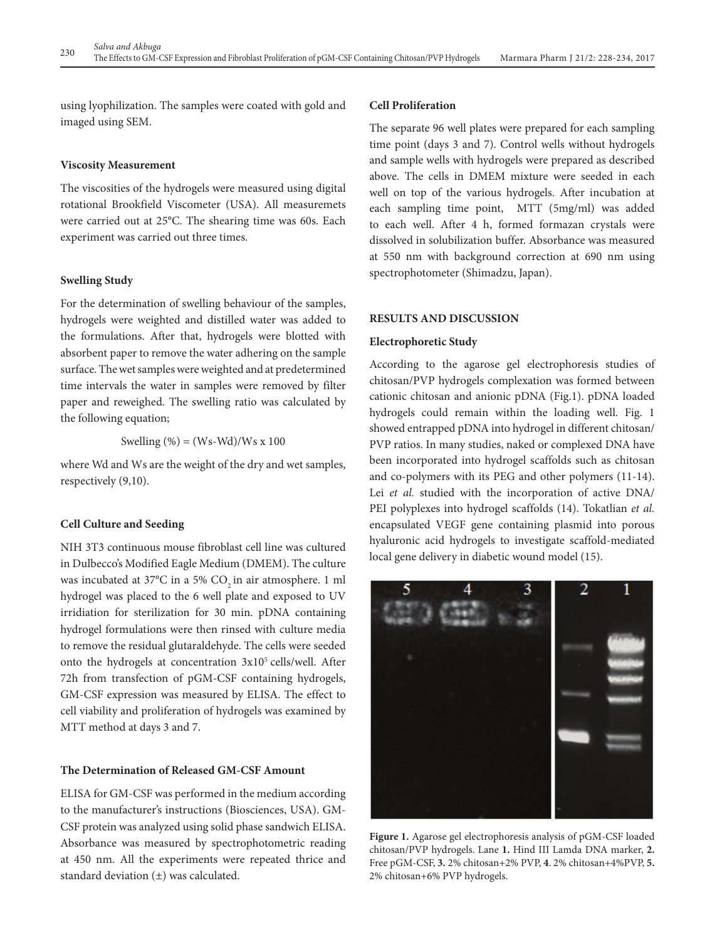using lyophilization. The samples were coated with gold and imaged using SEM.

## **Viscosity Measurement**

The viscosities of the hydrogels were measured using digital rotational Brookfield Viscometer (USA). All measuremets were carried out at 25°C. The shearing time was 60s. Each experiment was carried out three times.

## **Swelling Study**

For the determination of swelling behaviour of the samples, hydrogels were weighted and distilled water was added to the formulations. After that, hydrogels were blotted with absorbent paper to remove the water adhering on the sample surface. The wet samples were weighted and at predetermined time intervals the water in samples were removed by filter paper and reweighed. The swelling ratio was calculated by the following equation;

Swelling  $%$  = (Ws-Wd)/Ws x 100

where Wd and Ws are the weight of the dry and wet samples, respectively (9,10).

## **Cell Culture and Seeding**

NIH 3T3 continuous mouse fibroblast cell line was cultured in Dulbecco's Modified Eagle Medium (DMEM). The culture was incubated at  $37^{\circ}$ C in a 5% CO<sub>2</sub> in air atmosphere. 1 ml hydrogel was placed to the 6 well plate and exposed to UV irridiation for sterilization for 30 min. pDNA containing hydrogel formulations were then rinsed with culture media to remove the residual glutaraldehyde. The cells were seeded onto the hydrogels at concentration 3x105 cells/well. After 72h from transfection of pGM-CSF containing hydrogels, GM-CSF expression was measured by ELISA. The effect to cell viability and proliferation of hydrogels was examined by MTT method at days 3 and 7.

## **The Determination of Released GM-CSF Amount**

ELISA for GM-CSF was performed in the medium according to the manufacturer's instructions (Biosciences, USA). GM-CSF protein was analyzed using solid phase sandwich ELISA. Absorbance was measured by spectrophotometric reading at 450 nm. All the experiments were repeated thrice and standard deviation  $(\pm)$  was calculated.

#### **Cell Proliferation**

The separate 96 well plates were prepared for each sampling time point (days 3 and 7). Control wells without hydrogels and sample wells with hydrogels were prepared as described above. The cells in DMEM mixture were seeded in each well on top of the various hydrogels. After incubation at each sampling time point, MTT (5mg/ml) was added to each well. After 4 h, formed formazan crystals were dissolved in solubilization buffer. Absorbance was measured at 550 nm with background correction at 690 nm using spectrophotometer (Shimadzu, Japan).

## **RESULTS AND DISCUSSION**

#### **Electrophoretic Study**

According to the agarose gel electrophoresis studies of chitosan/PVP hydrogels complexation was formed between cationic chitosan and anionic pDNA (Fig.1). pDNA loaded hydrogels could remain within the loading well. Fig. 1 showed entrapped pDNA into hydrogel in different chitosan/ PVP ratios. In many studies, naked or complexed DNA have been incorporated into hydrogel scaffolds such as chitosan and co-polymers with its PEG and other polymers (11-14). Lei *et al.* studied with the incorporation of active DNA/ PEI polyplexes into hydrogel scaffolds (14). Tokatlian *et al.* encapsulated VEGF gene containing plasmid into porous hyaluronic acid hydrogels to investigate scaffold-mediated local gene delivery in diabetic wound model (15).



**Figure 1.** Agarose gel electrophoresis analysis of pGM-CSF loaded chitosan/PVP hydrogels. Lane **1.** Hind III Lamda DNA marker, **2.** Free pGM-CSF, **3.** 2% chitosan+2% PVP, **4**. 2% chitosan+4%PVP, **5.** 2% chitosan+6% PVP hydrogels.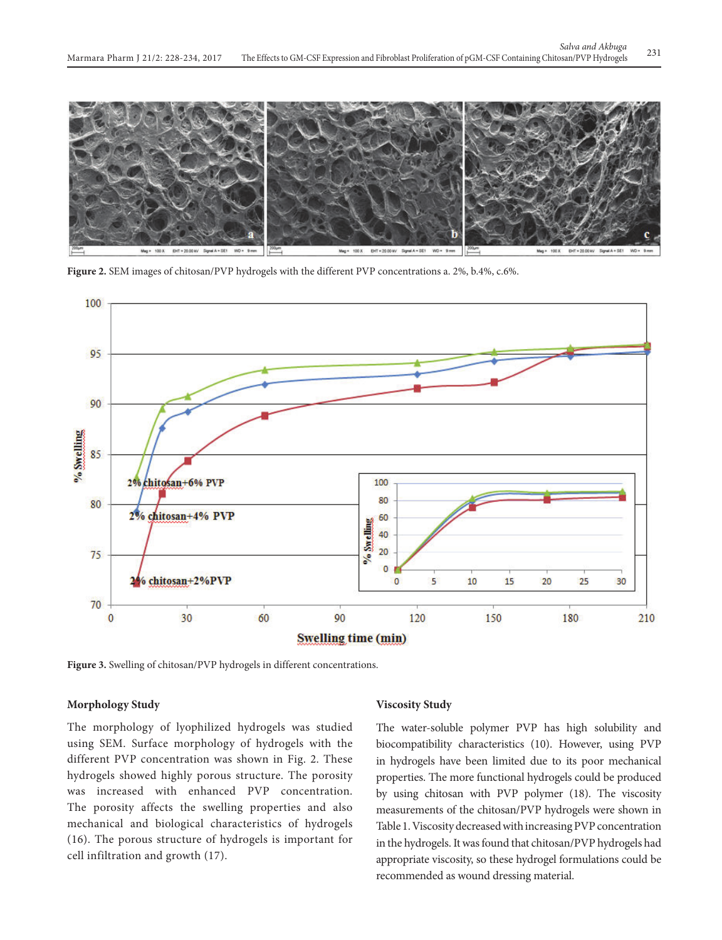

**Figure 2.** SEM images of chitosan/PVP hydrogels with the different PVP concentrations a. 2%, b.4%, c.6%.



**Figure 3.** Swelling of chitosan/PVP hydrogels in different concentrations.

## **Morphology Study**

The morphology of lyophilized hydrogels was studied using SEM. Surface morphology of hydrogels with the different PVP concentration was shown in Fig. 2. These hydrogels showed highly porous structure. The porosity was increased with enhanced PVP concentration. The porosity affects the swelling properties and also mechanical and biological characteristics of hydrogels (16). The porous structure of hydrogels is important for cell infiltration and growth (17).

## **Viscosity Study**

The water-soluble polymer PVP has high solubility and biocompatibility characteristics (10). However, using PVP in hydrogels have been limited due to its poor mechanical properties. The more functional hydrogels could be produced by using chitosan with PVP polymer (18). The viscosity measurements of the chitosan/PVP hydrogels were shown in Table 1. Viscosity decreased with increasing PVP concentration in the hydrogels. It was found that chitosan/PVP hydrogels had appropriate viscosity, so these hydrogel formulations could be recommended as wound dressing material.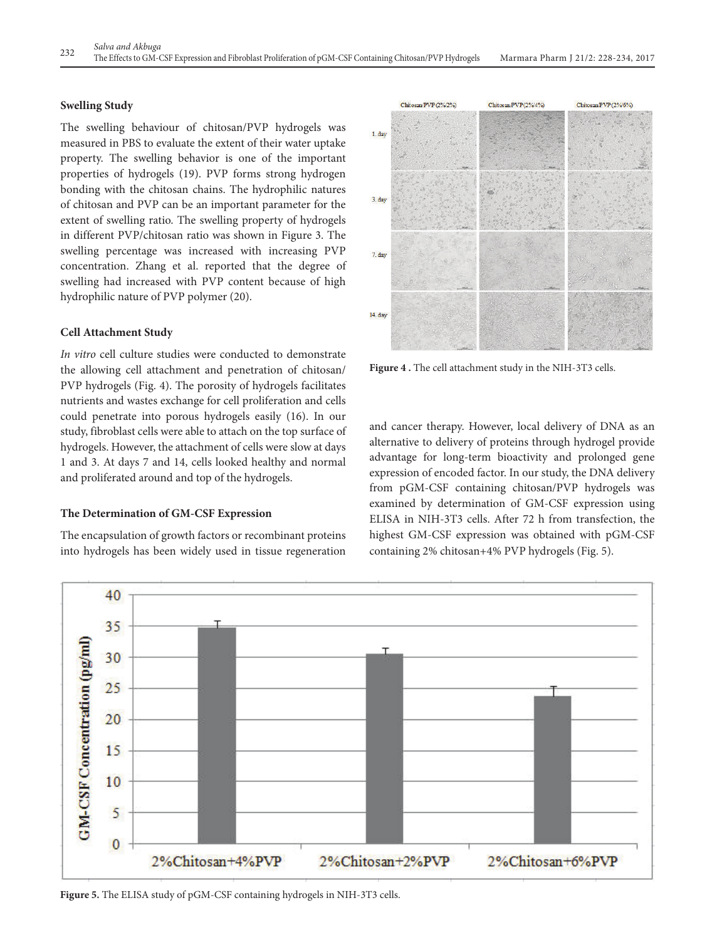# **Swelling Study**

The swelling behaviour of chitosan/PVP hydrogels was measured in PBS to evaluate the extent of their water uptake property. The swelling behavior is one of the important properties of hydrogels (19). PVP forms strong hydrogen bonding with the chitosan chains. The hydrophilic natures of chitosan and PVP can be an important parameter for the extent of swelling ratio. The swelling property of hydrogels in different PVP/chitosan ratio was shown in Figure 3. The swelling percentage was increased with increasing PVP concentration. Zhang et al. reported that the degree of swelling had increased with PVP content because of high hydrophilic nature of PVP polymer (20).

## **Cell Attachment Study**

*In vitro* cell culture studies were conducted to demonstrate the allowing cell attachment and penetration of chitosan/ PVP hydrogels (Fig. 4). The porosity of hydrogels facilitates nutrients and wastes exchange for cell proliferation and cells could penetrate into porous hydrogels easily (16). In our study, fibroblast cells were able to attach on the top surface of hydrogels. However, the attachment of cells were slow at days 1 and 3. At days 7 and 14, cells looked healthy and normal and proliferated around and top of the hydrogels.

## **The Determination of GM-CSF Expression**

The encapsulation of growth factors or recombinant proteins into hydrogels has been widely used in tissue regeneration



**Figure 4 .** The cell attachment study in the NIH-3T3 cells.

and cancer therapy. However, local delivery of DNA as an alternative to delivery of proteins through hydrogel provide advantage for long-term bioactivity and prolonged gene expression of encoded factor. In our study, the DNA delivery from pGM-CSF containing chitosan/PVP hydrogels was examined by determination of GM-CSF expression using ELISA in NIH-3T3 cells. After 72 h from transfection, the highest GM-CSF expression was obtained with pGM-CSF containing 2% chitosan+4% PVP hydrogels (Fig. 5).



**Figure 5.** The ELISA study of pGM-CSF containing hydrogels in NIH-3T3 cells.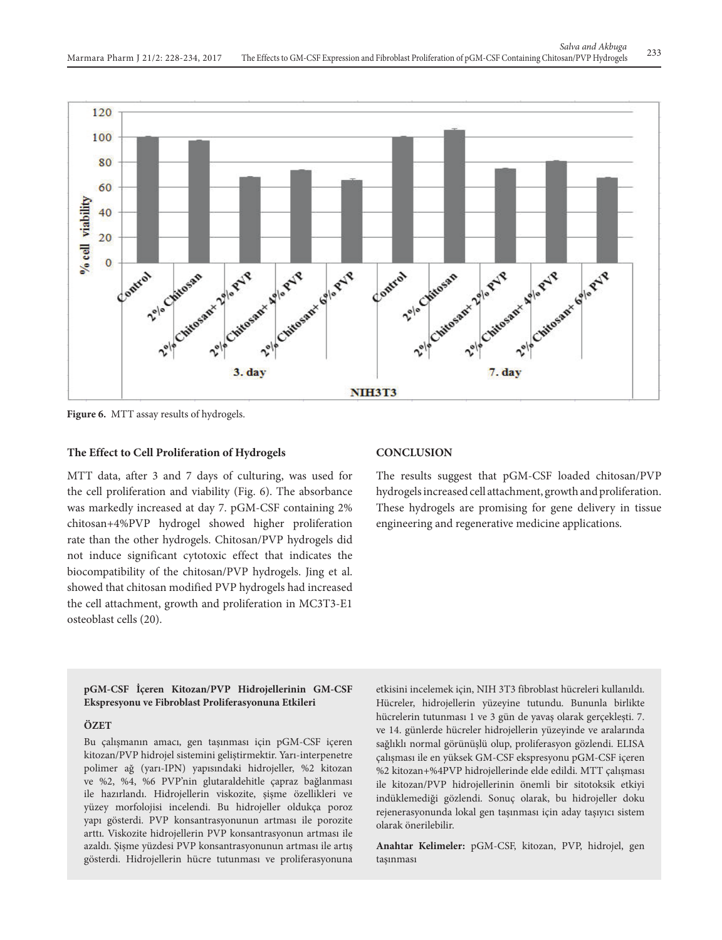

**Figure 6.** MTT assay results of hydrogels.

## **The Effect to Cell Proliferation of Hydrogels**

MTT data, after 3 and 7 days of culturing, was used for the cell proliferation and viability (Fig. 6). The absorbance was markedly increased at day 7. pGM-CSF containing 2% chitosan+4%PVP hydrogel showed higher proliferation rate than the other hydrogels. Chitosan/PVP hydrogels did not induce significant cytotoxic effect that indicates the biocompatibility of the chitosan/PVP hydrogels. Jing et al. showed that chitosan modified PVP hydrogels had increased the cell attachment, growth and proliferation in MC3T3-E1 osteoblast cells (20).

## **CONCLUSION**

The results suggest that pGM-CSF loaded chitosan/PVP hydrogels increased cell attachment, growth and proliferation. These hydrogels are promising for gene delivery in tissue engineering and regenerative medicine applications.

#### **pGM-CSF İçeren Kitozan/PVP Hidrojellerinin GM-CSF Ekspresyonu ve Fibroblast Proliferasyonuna Etkileri**

#### **ÖZET**

Bu çalışmanın amacı, gen taşınması için pGM-CSF içeren kitozan/PVP hidrojel sistemini geliştirmektir. Yarı-interpenetre polimer ağ (yarı-IPN) yapısındaki hidrojeller, %2 kitozan ve %2, %4, %6 PVP'nin glutaraldehitle çapraz bağlanması ile hazırlandı. Hidrojellerin viskozite, şişme özellikleri ve yüzey morfolojisi incelendi. Bu hidrojeller oldukça poroz yapı gösterdi. PVP konsantrasyonunun artması ile porozite arttı. Viskozite hidrojellerin PVP konsantrasyonun artması ile azaldı. Şişme yüzdesi PVP konsantrasyonunun artması ile artış gösterdi. Hidrojellerin hücre tutunması ve proliferasyonuna etkisini incelemek için, NIH 3T3 fibroblast hücreleri kullanıldı. Hücreler, hidrojellerin yüzeyine tutundu. Bununla birlikte hücrelerin tutunması 1 ve 3 gün de yavaş olarak gerçekleşti. 7. ve 14. günlerde hücreler hidrojellerin yüzeyinde ve aralarında sağlıklı normal görünüşlü olup, proliferasyon gözlendi. ELISA çalışması ile en yüksek GM-CSF ekspresyonu pGM-CSF içeren %2 kitozan+%4PVP hidrojellerinde elde edildi. MTT çalışması ile kitozan/PVP hidrojellerinin önemli bir sitotoksik etkiyi indüklemediği gözlendi. Sonuç olarak, bu hidrojeller doku rejenerasyonunda lokal gen taşınması için aday taşıyıcı sistem olarak önerilebilir.

**Anahtar Kelimeler:** pGM-CSF, kitozan, PVP, hidrojel, gen taşınması